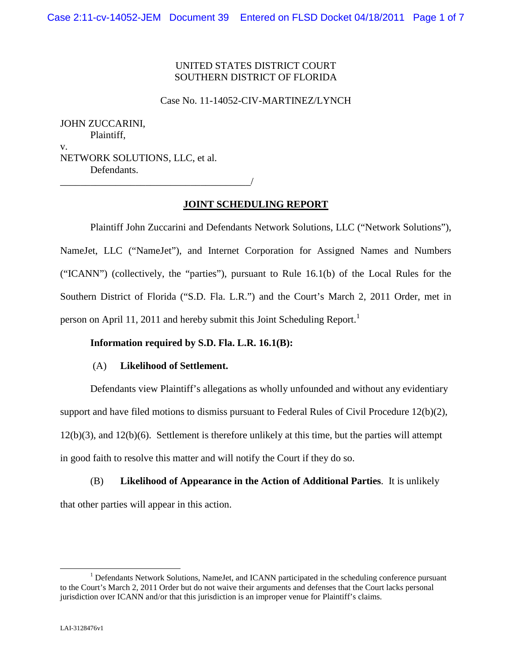# UNITED STATES DISTRICT COURT SOUTHERN DISTRICT OF FLORIDA

Case No. 11-14052-CIV-MARTINEZ/LYNCH

JOHN ZUCCARINI, Plaintiff, v. NETWORK SOLUTIONS, LLC, et al. Defendants.

# \_\_\_\_\_\_\_\_\_\_\_\_\_\_\_\_\_\_\_\_\_\_\_\_\_\_\_\_\_\_\_\_\_\_\_\_\_\_/

# Plaintiff John Zuccarini and Defendants Network Solutions, LLC ("Network Solutions"), NameJet, LLC ("NameJet"), and Internet Corporation for Assigned Names and Numbers ("ICANN") (collectively, the "parties"), pursuant to Rule 16.1(b) of the Local Rules for the Southern District of Florida ("S.D. Fla. L.R.") and the Court's March 2, 2011 Order, met in person on April 11, 2011 and hereby submit this Joint Scheduling Report.<sup>1</sup>

**JOINT SCHEDULING REPORT**

# **Information required by S.D. Fla. L.R. 16.1(B):**

### (A) **Likelihood of Settlement.**

Defendants view Plaintiff's allegations as wholly unfounded and without any evidentiary support and have filed motions to dismiss pursuant to Federal Rules of Civil Procedure 12(b)(2), 12(b)(3), and 12(b)(6). Settlement is therefore unlikely at this time, but the parties will attempt in good faith to resolve this matter and will notify the Court if they do so.

(B) **Likelihood of Appearance in the Action of Additional Parties**. It is unlikely that other parties will appear in this action.

<sup>&</sup>lt;sup>1</sup> Defendants Network Solutions, NameJet, and ICANN participated in the scheduling conference pursuant to the Court's March 2, 2011 Order but do not waive their arguments and defenses that the Court lacks personal jurisdiction over ICANN and/or that this jurisdiction is an improper venue for Plaintiff's claims.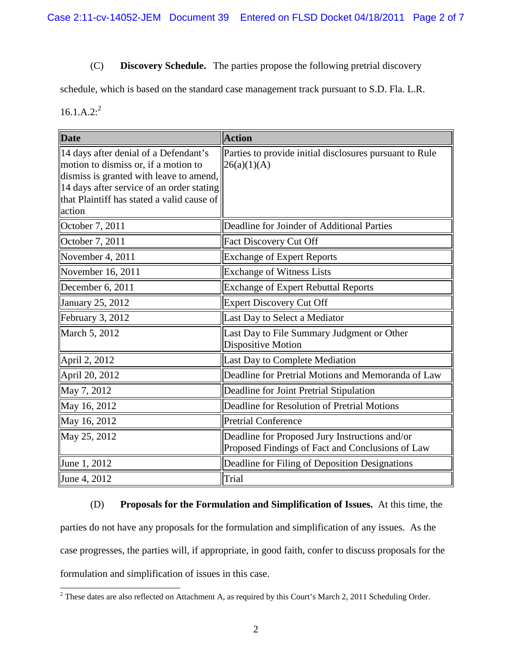# (C) **Discovery Schedule.** The parties propose the following pretrial discovery

schedule, which is based on the standard case management track pursuant to S.D. Fla. L.R.

 $16.1.A.2:^{2}$ 

| <b>Date</b>                                                                                                                                                                                                                   | <b>Action</b>                                                                                      |
|-------------------------------------------------------------------------------------------------------------------------------------------------------------------------------------------------------------------------------|----------------------------------------------------------------------------------------------------|
| 14 days after denial of a Defendant's<br>motion to dismiss or, if a motion to<br>dismiss is granted with leave to amend,<br>14 days after service of an order stating<br>that Plaintiff has stated a valid cause of<br>action | Parties to provide initial disclosures pursuant to Rule<br>26(a)(1)(A)                             |
| October 7, 2011                                                                                                                                                                                                               | Deadline for Joinder of Additional Parties                                                         |
| October 7, 2011                                                                                                                                                                                                               | Fact Discovery Cut Off                                                                             |
| November 4, 2011                                                                                                                                                                                                              | <b>Exchange of Expert Reports</b>                                                                  |
| November 16, 2011                                                                                                                                                                                                             | <b>Exchange of Witness Lists</b>                                                                   |
| December 6, 2011                                                                                                                                                                                                              | <b>Exchange of Expert Rebuttal Reports</b>                                                         |
| January 25, 2012                                                                                                                                                                                                              | <b>Expert Discovery Cut Off</b>                                                                    |
| February 3, 2012                                                                                                                                                                                                              | Last Day to Select a Mediator                                                                      |
| March 5, 2012                                                                                                                                                                                                                 | Last Day to File Summary Judgment or Other<br>Dispositive Motion                                   |
| April 2, 2012                                                                                                                                                                                                                 | Last Day to Complete Mediation                                                                     |
| April 20, 2012                                                                                                                                                                                                                | Deadline for Pretrial Motions and Memoranda of Law                                                 |
| May 7, 2012                                                                                                                                                                                                                   | Deadline for Joint Pretrial Stipulation                                                            |
| May 16, 2012                                                                                                                                                                                                                  | Deadline for Resolution of Pretrial Motions                                                        |
| May 16, 2012                                                                                                                                                                                                                  | <b>Pretrial Conference</b>                                                                         |
| May 25, 2012                                                                                                                                                                                                                  | Deadline for Proposed Jury Instructions and/or<br>Proposed Findings of Fact and Conclusions of Law |
| June 1, 2012                                                                                                                                                                                                                  | Deadline for Filing of Deposition Designations                                                     |
| June 4, 2012                                                                                                                                                                                                                  | Trial                                                                                              |

# (D) **Proposals for the Formulation and Simplification of Issues.** At this time, the parties do not have any proposals for the formulation and simplification of any issues. As the case progresses, the parties will, if appropriate, in good faith, confer to discuss proposals for the formulation and simplification of issues in this case.

<sup>&</sup>lt;sup>2</sup> These dates are also reflected on Attachment A, as required by this Court's March 2, 2011 Scheduling Order.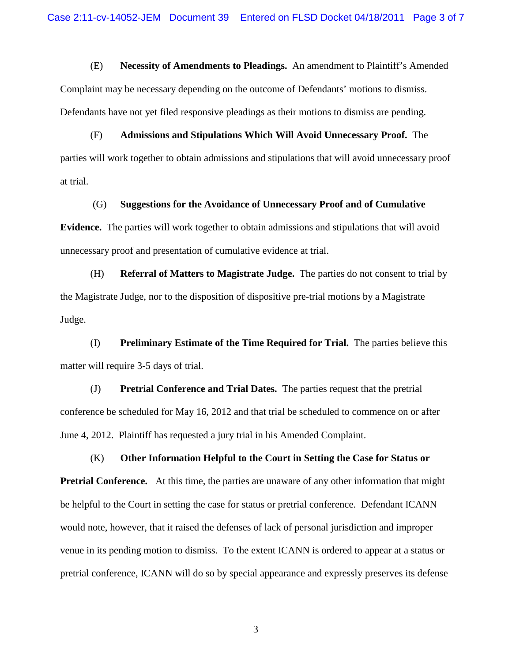(E) **Necessity of Amendments to Pleadings.** An amendment to Plaintiff's Amended Complaint may be necessary depending on the outcome of Defendants' motions to dismiss. Defendants have not yet filed responsive pleadings as their motions to dismiss are pending.

(F) **Admissions and Stipulations Which Will Avoid Unnecessary Proof.** The parties will work together to obtain admissions and stipulations that will avoid unnecessary proof at trial.

(G) **Suggestions for the Avoidance of Unnecessary Proof and of Cumulative**

**Evidence.** The parties will work together to obtain admissions and stipulations that will avoid unnecessary proof and presentation of cumulative evidence at trial.

(H) **Referral of Matters to Magistrate Judge.** The parties do not consent to trial by the Magistrate Judge, nor to the disposition of dispositive pre-trial motions by a Magistrate Judge.

(I) **Preliminary Estimate of the Time Required for Trial.** The parties believe this matter will require 3-5 days of trial.

(J) **Pretrial Conference and Trial Dates.** The parties request that the pretrial conference be scheduled for May 16, 2012 and that trial be scheduled to commence on or after June 4, 2012. Plaintiff has requested a jury trial in his Amended Complaint.

(K) **Other Information Helpful to the Court in Setting the Case for Status or Pretrial Conference.** At this time, the parties are unaware of any other information that might be helpful to the Court in setting the case for status or pretrial conference. Defendant ICANN would note, however, that it raised the defenses of lack of personal jurisdiction and improper venue in its pending motion to dismiss. To the extent ICANN is ordered to appear at a status or pretrial conference, ICANN will do so by special appearance and expressly preserves its defense

3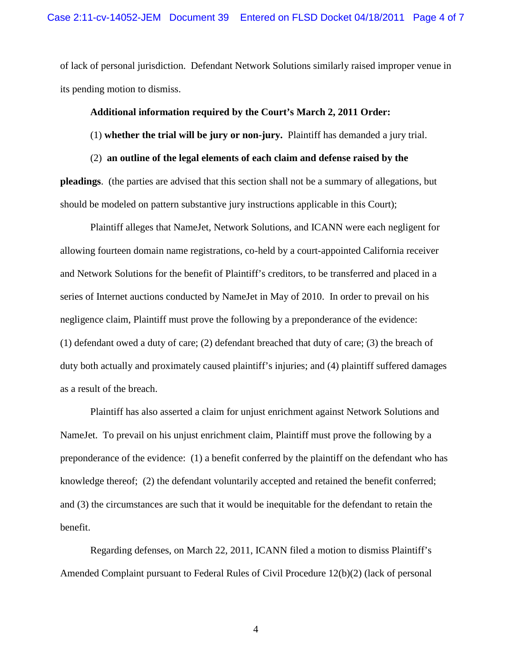of lack of personal jurisdiction. Defendant Network Solutions similarly raised improper venue in its pending motion to dismiss.

#### **Additional information required by the Court's March 2, 2011 Order:**

#### (1) **whether the trial will be jury or non-jury.** Plaintiff has demanded a jury trial.

(2) **an outline of the legal elements of each claim and defense raised by the pleadings**. (the parties are advised that this section shall not be a summary of allegations, but should be modeled on pattern substantive jury instructions applicable in this Court);

Plaintiff alleges that NameJet, Network Solutions, and ICANN were each negligent for allowing fourteen domain name registrations, co-held by a court-appointed California receiver and Network Solutions for the benefit of Plaintiff's creditors, to be transferred and placed in a series of Internet auctions conducted by NameJet in May of 2010. In order to prevail on his negligence claim, Plaintiff must prove the following by a preponderance of the evidence: (1) defendant owed a duty of care; (2) defendant breached that duty of care; (3) the breach of duty both actually and proximately caused plaintiff's injuries; and (4) plaintiff suffered damages as a result of the breach.

Plaintiff has also asserted a claim for unjust enrichment against Network Solutions and NameJet. To prevail on his unjust enrichment claim, Plaintiff must prove the following by a preponderance of the evidence: (1) a benefit conferred by the plaintiff on the defendant who has knowledge thereof; (2) the defendant voluntarily accepted and retained the benefit conferred; and (3) the circumstances are such that it would be inequitable for the defendant to retain the benefit.

Regarding defenses, on March 22, 2011, ICANN filed a motion to dismiss Plaintiff's Amended Complaint pursuant to Federal Rules of Civil Procedure 12(b)(2) (lack of personal

4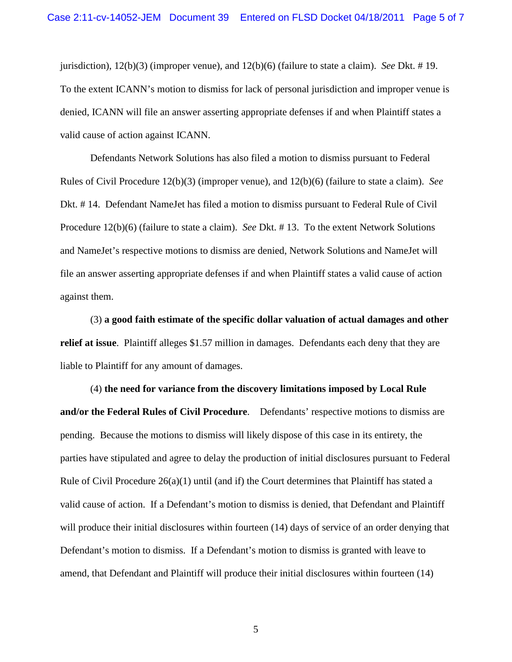jurisdiction), 12(b)(3) (improper venue), and 12(b)(6) (failure to state a claim). *See* Dkt. # 19. To the extent ICANN's motion to dismiss for lack of personal jurisdiction and improper venue is denied, ICANN will file an answer asserting appropriate defenses if and when Plaintiff states a valid cause of action against ICANN.

Defendants Network Solutions has also filed a motion to dismiss pursuant to Federal Rules of Civil Procedure 12(b)(3) (improper venue), and 12(b)(6) (failure to state a claim). *See* Dkt. # 14. Defendant NameJet has filed a motion to dismiss pursuant to Federal Rule of Civil Procedure 12(b)(6) (failure to state a claim). *See* Dkt. # 13. To the extent Network Solutions and NameJet's respective motions to dismiss are denied, Network Solutions and NameJet will file an answer asserting appropriate defenses if and when Plaintiff states a valid cause of action against them.

(3) **a good faith estimate of the specific dollar valuation of actual damages and other relief at issue**. Plaintiff alleges \$1.57 million in damages. Defendants each deny that they are liable to Plaintiff for any amount of damages.

(4) **the need for variance from the discovery limitations imposed by Local Rule and/or the Federal Rules of Civil Procedure**. Defendants' respective motions to dismiss are pending. Because the motions to dismiss will likely dispose of this case in its entirety, the parties have stipulated and agree to delay the production of initial disclosures pursuant to Federal Rule of Civil Procedure  $26(a)(1)$  until (and if) the Court determines that Plaintiff has stated a valid cause of action. If a Defendant's motion to dismiss is denied, that Defendant and Plaintiff will produce their initial disclosures within fourteen (14) days of service of an order denying that Defendant's motion to dismiss. If a Defendant's motion to dismiss is granted with leave to amend, that Defendant and Plaintiff will produce their initial disclosures within fourteen (14)

5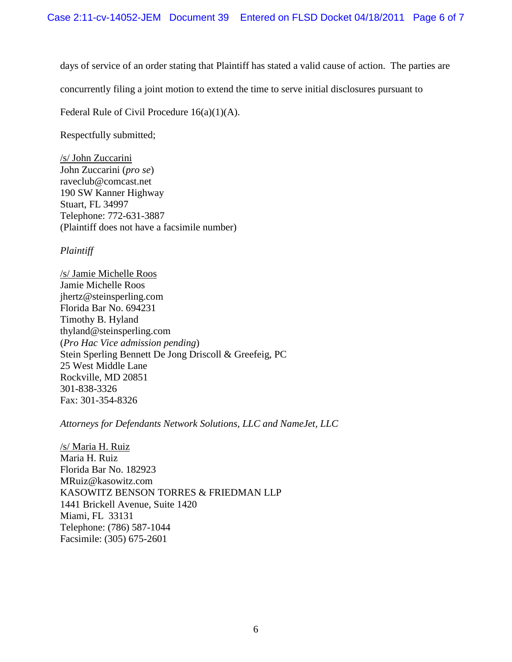days of service of an order stating that Plaintiff has stated a valid cause of action. The parties are

concurrently filing a joint motion to extend the time to serve initial disclosures pursuant to

Federal Rule of Civil Procedure 16(a)(1)(A).

Respectfully submitted;

/s/ John Zuccarini John Zuccarini (*pro se*) raveclub@comcast.net 190 SW Kanner Highway Stuart, FL 34997 Telephone: 772-631-3887 (Plaintiff does not have a facsimile number)

*Plaintiff*

/s/ Jamie Michelle Roos Jamie Michelle Roos jhertz@steinsperling.com Florida Bar No. 694231 Timothy B. Hyland thyland@steinsperling.com (*Pro Hac Vice admission pending*) Stein Sperling Bennett De Jong Driscoll & Greefeig, PC 25 West Middle Lane Rockville, MD 20851 301-838-3326 Fax: 301-354-8326

*Attorneys for Defendants Network Solutions, LLC and NameJet, LLC*

/s/ Maria H. Ruiz Maria H. Ruiz Florida Bar No. 182923 MRuiz@kasowitz.com KASOWITZ BENSON TORRES & FRIEDMAN LLP 1441 Brickell Avenue, Suite 1420 Miami, FL 33131 Telephone: (786) 587-1044 Facsimile: (305) 675-2601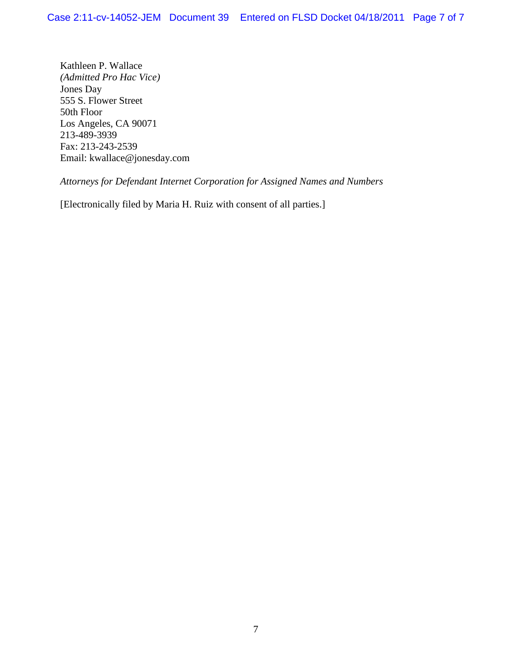Kathleen P. Wallace *(Admitted Pro Hac Vice)* Jones Day 555 S. Flower Street 50th Floor Los Angeles, CA 90071 213-489-3939 Fax: 213-243-2539 Email: kwallace@jonesday.com

*Attorneys for Defendant Internet Corporation for Assigned Names and Numbers*

[Electronically filed by Maria H. Ruiz with consent of all parties.]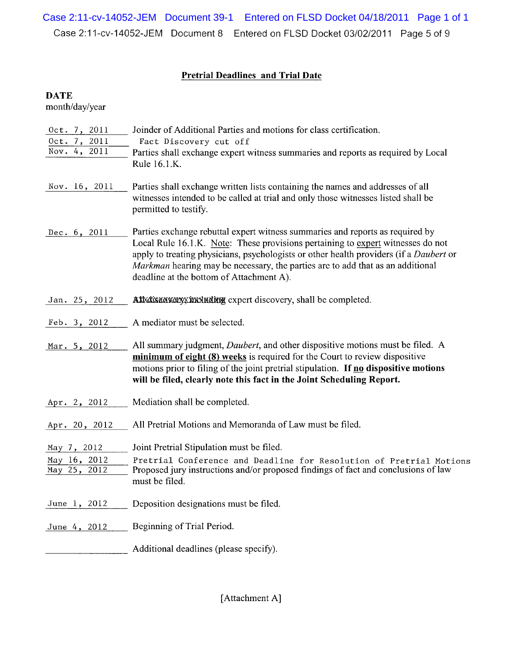Case 2:11-cv-14052-JEM Document 39-1 Entered on FLSD Docket 04/18/2011 Page 1 of 1Case 2:11-cv-14052-JEM Document 8 Entered on FLSD Docket 03/02/2011 Page 5 of 9

# **Pretrial Deadlines and Trial Date**

# **DATE**

month/day/year

| Oct. 7, 2011                 | Joinder of Additional Parties and motions for class certification.                                                                                                                                                                                                                                                                                                                       |
|------------------------------|------------------------------------------------------------------------------------------------------------------------------------------------------------------------------------------------------------------------------------------------------------------------------------------------------------------------------------------------------------------------------------------|
| Oct. 7, 2011<br>Nov. 4, 2011 | Fact Discovery cut off                                                                                                                                                                                                                                                                                                                                                                   |
|                              | Parties shall exchange expert witness summaries and reports as required by Local<br>Rule 16.1.K.                                                                                                                                                                                                                                                                                         |
|                              |                                                                                                                                                                                                                                                                                                                                                                                          |
| Nov. 16, 2011                | Parties shall exchange written lists containing the names and addresses of all<br>witnesses intended to be called at trial and only those witnesses listed shall be<br>permitted to testify.                                                                                                                                                                                             |
| Dec. 6, 2011                 | Parties exchange rebuttal expert witness summaries and reports as required by<br>Local Rule 16.1.K. Note: These provisions pertaining to expert witnesses do not<br>apply to treating physicians, psychologists or other health providers (if a Daubert or<br>Markman hearing may be necessary, the parties are to add that as an additional<br>deadline at the bottom of Attachment A). |
| Jan. 25, 2012                | Allxdixxaxxayxxxxluding expert discovery, shall be completed.                                                                                                                                                                                                                                                                                                                            |
| Feb. 3, 2012                 | A mediator must be selected.                                                                                                                                                                                                                                                                                                                                                             |
| Mar. 5, 2012                 | All summary judgment, Daubert, and other dispositive motions must be filed. A<br>minimum of eight (8) weeks is required for the Court to review dispositive<br>motions prior to filing of the joint pretrial stipulation. If no dispositive motions<br>will be filed, clearly note this fact in the Joint Scheduling Report.                                                             |
| Apr. 2, 2012                 | Mediation shall be completed.                                                                                                                                                                                                                                                                                                                                                            |
| Apr. 20, 2012                | All Pretrial Motions and Memoranda of Law must be filed.                                                                                                                                                                                                                                                                                                                                 |
| May 7, 2012                  | Joint Pretrial Stipulation must be filed.                                                                                                                                                                                                                                                                                                                                                |
| May 16, 2012                 | Pretrial Conference and Deadline for Resolution of Pretrial Motions                                                                                                                                                                                                                                                                                                                      |
| May 25, 2012                 | Proposed jury instructions and/or proposed findings of fact and conclusions of law                                                                                                                                                                                                                                                                                                       |
|                              | must be filed.                                                                                                                                                                                                                                                                                                                                                                           |
| June 1, 2012                 | Deposition designations must be filed.                                                                                                                                                                                                                                                                                                                                                   |
| June 4, 2012                 | Beginning of Trial Period.                                                                                                                                                                                                                                                                                                                                                               |
|                              | Additional deadlines (please specify).                                                                                                                                                                                                                                                                                                                                                   |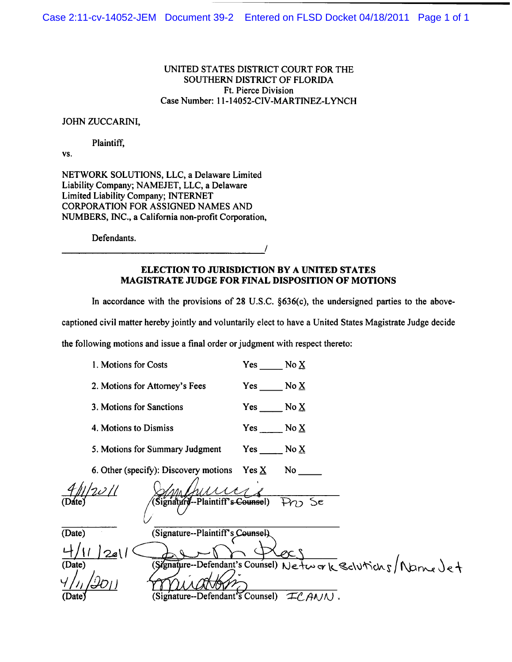#### UNITED STATES DISTRICT COURT FOR THE SOUTHERN DISTRICT OF FLORIDA Ft. Pierce Division Case Number: 11-14052-CIV-MARTINEZ-LYNCH

#### JOHN ZUCCARINI,

#### Plaintiff,

VS.

NETWORK SOLUTIONS, LLC, a Delaware Limited Liability Company; NAMEJET, LLC, a Delaware Limited Liability Company; INTERNET CORPORATION FOR ASSIGNED NAMES AND NUMBERS, INC., a California non-profit Corporation,

Defendants.

#### **ELECTION TO JURISDICTION BY A UNITED STATES MAGISTRATE JUDGE FOR FINAL DISPOSITION OF MOTIONS**

In accordance with the provisions of 28 U.S.C. §636(c), the undersigned parties to the above-

captioned civil matter hereby jointly and voluntarily elect to have a United States Magistrate Judge decide

the following motions and issue a final order or judgment with respect thereto:

|        | 1. Motions for Costs                                      | $Yes$ No $\underline{X}$ |        |  |
|--------|-----------------------------------------------------------|--------------------------|--------|--|
|        | 2. Motions for Attorney's Fees                            | $Yes$ No $\underline{X}$ |        |  |
|        | 3. Motions for Sanctions                                  | Yes $No X$               |        |  |
|        | 4. Motions to Dismiss                                     | Yes $No X$               |        |  |
|        | 5. Motions for Summary Judgment                           | Yes $No X$               |        |  |
|        | 6. Other (specify): Discovery motions                     | Yes $\underline{X}$      | No l   |  |
|        |                                                           |                          |        |  |
| (Dáte) | (Signature-Plaintiff's-Counsel)                           |                          | Pro Se |  |
| (Date) | (Signature--Plaintiff's Counsel).                         |                          |        |  |
|        | 2a                                                        |                          |        |  |
| (Date) | Signature-Defendant's Counsel) Network Schutichs/Name Jet |                          |        |  |
|        |                                                           |                          |        |  |
| (Date) | (Signature--Defendant's Counsel)                          |                          | ICANN. |  |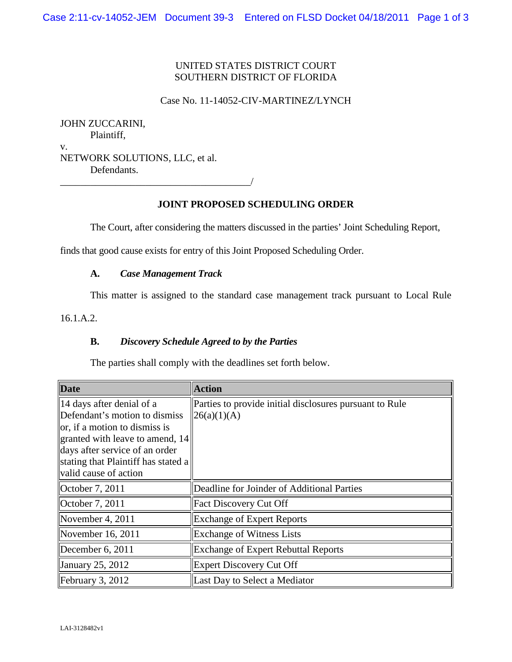# UNITED STATES DISTRICT COURT SOUTHERN DISTRICT OF FLORIDA

#### Case No. 11-14052-CIV-MARTINEZ/LYNCH

JOHN ZUCCARINI, Plaintiff, v. NETWORK SOLUTIONS, LLC, et al. Defendants.

# **JOINT PROPOSED SCHEDULING ORDER**

The Court, after considering the matters discussed in the parties' Joint Scheduling Report,

finds that good cause exists for entry of this Joint Proposed Scheduling Order.

### **A.** *Case Management Track*

\_\_\_\_\_\_\_\_\_\_\_\_\_\_\_\_\_\_\_\_\_\_\_\_\_\_\_\_\_\_\_\_\_\_\_\_\_\_/

This matter is assigned to the standard case management track pursuant to Local Rule

16.1.A.2.

### **B.** *Discovery Schedule Agreed to by the Parties*

The parties shall comply with the deadlines set forth below.

| <b>Date</b>                                                                                                                                                                                                                      | <b>Action</b>                                                           |
|----------------------------------------------------------------------------------------------------------------------------------------------------------------------------------------------------------------------------------|-------------------------------------------------------------------------|
| 14 days after denial of a<br>Defendant's motion to dismiss<br>or, if a motion to dismiss is<br>granted with leave to amend, 14<br>days after service of an order<br>stating that Plaintiff has stated a<br>valid cause of action | Parties to provide initial disclosures pursuant to Rule<br> 26(a)(1)(A) |
| October 7, 2011                                                                                                                                                                                                                  | Deadline for Joinder of Additional Parties                              |
| October 7, 2011                                                                                                                                                                                                                  | <b>Fact Discovery Cut Off</b>                                           |
| November 4, 2011                                                                                                                                                                                                                 | <b>Exchange of Expert Reports</b>                                       |
| November 16, 2011                                                                                                                                                                                                                | <b>Exchange of Witness Lists</b>                                        |
| December 6, 2011                                                                                                                                                                                                                 | <b>Exchange of Expert Rebuttal Reports</b>                              |
| January 25, 2012                                                                                                                                                                                                                 | <b>Expert Discovery Cut Off</b>                                         |
| February 3, 2012                                                                                                                                                                                                                 | Last Day to Select a Mediator                                           |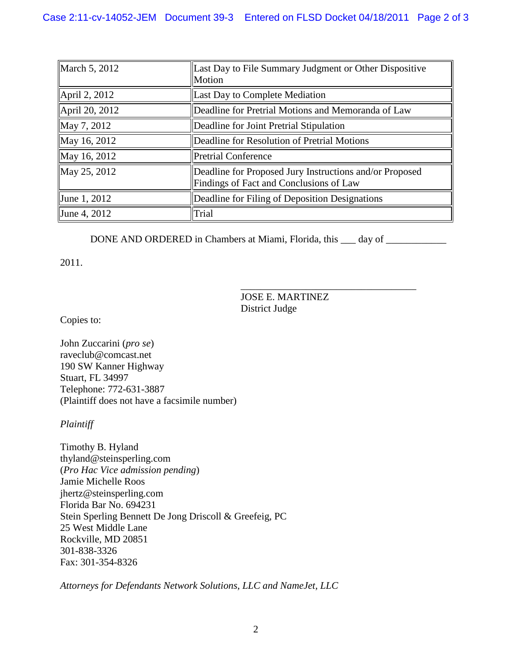| March 5, 2012  | Last Day to File Summary Judgment or Other Dispositive<br>Motion                                   |  |
|----------------|----------------------------------------------------------------------------------------------------|--|
| April 2, 2012  | Last Day to Complete Mediation                                                                     |  |
| April 20, 2012 | Deadline for Pretrial Motions and Memoranda of Law                                                 |  |
| May 7, 2012    | Deadline for Joint Pretrial Stipulation                                                            |  |
| May 16, 2012   | Deadline for Resolution of Pretrial Motions                                                        |  |
| May 16, 2012   | <b>Pretrial Conference</b>                                                                         |  |
| May 25, 2012   | Deadline for Proposed Jury Instructions and/or Proposed<br>Findings of Fact and Conclusions of Law |  |
| June 1, 2012   | Deadline for Filing of Deposition Designations                                                     |  |
| June 4, 2012   | Trial                                                                                              |  |

DONE AND ORDERED in Chambers at Miami, Florida, this \_\_\_ day of \_\_\_\_\_\_\_\_\_\_\_\_\_\_\_\_

2011.

JOSE E. MARTINEZ District Judge

\_\_\_\_\_\_\_\_\_\_\_\_\_\_\_\_\_\_\_\_\_\_\_\_\_\_\_\_\_\_\_\_\_\_\_

Copies to:

John Zuccarini (*pro se*) raveclub@comcast.net 190 SW Kanner Highway Stuart, FL 34997 Telephone: 772-631-3887 (Plaintiff does not have a facsimile number)

*Plaintiff*

Timothy B. Hyland thyland@steinsperling.com (*Pro Hac Vice admission pending*) Jamie Michelle Roos jhertz@steinsperling.com Florida Bar No. 694231 Stein Sperling Bennett De Jong Driscoll & Greefeig, PC 25 West Middle Lane Rockville, MD 20851 301-838-3326 Fax: 301-354-8326

*Attorneys for Defendants Network Solutions, LLC and NameJet, LLC*